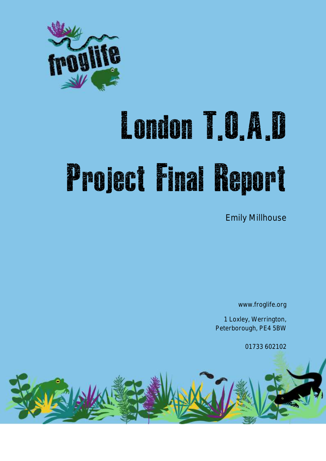

# London T.O.A.D Project Final Report

Emily Millhouse

www.froglife.org

1 Loxley, Werrington, Peterborough, PE4 5BW

01733 602102

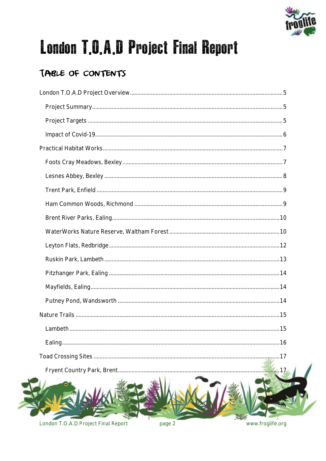

# London T.O.A.D Project Final Report

### TABLE OF CONTENTS

| 6.11 |
|------|
|      |

London T.O.A.D Project Final Report

**Aud** 

page 2

www.froglife.org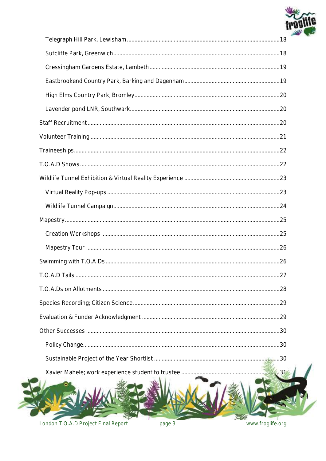

| 4.31 |
|------|
|      |

London T.O.A.D Project Final Report

page 3

www.froglife.org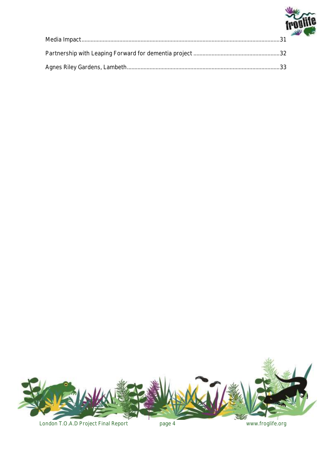

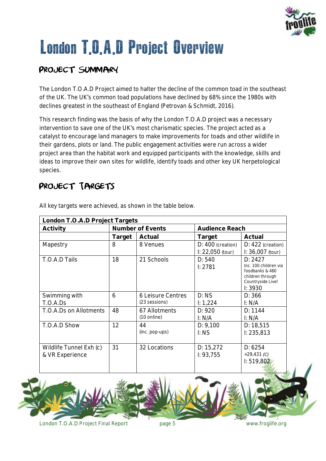

# <span id="page-4-0"></span>London T.O.A.D Project Overview

### <span id="page-4-1"></span>PROJECT SUMMARY

The London T.O.A.D Project aimed to halter the decline of the common toad in the southeast of the UK. The UK's common toad populations have declined by 68% since the 1980s with declines greatest in the southeast of England *(Petrovan & Schmidt, 2016*).

This research finding was the basis of why the London T.O.A.D project was a necessary intervention to save one of the UK's most charismatic species. The project acted as a catalyst to encourage land managers to make improvements for toads and other wildlife in their gardens, plots or land. The public engagement activities were run across a wider project area than the habitat work and equipped participants with the knowledge, skills and ideas to improve their own sites for wildlife, identify toads and other key UK herpetological species.

### <span id="page-4-2"></span>PROJECT TARGETS

| London T.O.A.D Project Targets             |                  |                                        |                                               |                                                                                                        |
|--------------------------------------------|------------------|----------------------------------------|-----------------------------------------------|--------------------------------------------------------------------------------------------------------|
| Activity                                   | Number of Events |                                        | Audience Reach                                |                                                                                                        |
|                                            | Target           | Actual                                 | Target                                        | Actual                                                                                                 |
| Mapestry                                   | 8                | 8 Venues                               | D: 400 (creation)<br>$\Gamma$ : 22,050 (tour) | $D: 422$ (creation)<br>$\Gamma$ : 36,007 (tour)                                                        |
| T.O.A.D Tails                              | 18               | 21 Schools                             | D: 540<br>1: 2781                             | D: 2427<br>Inc. 100 children via<br>foodbanks & 480<br>children through<br>Countryside Live!<br>1:3930 |
| Swimming with<br>T.O.A.Ds                  | 6                | 6 Leisure Centres<br>(23 sessions)     | D: NS<br>1: 1,224                             | D: 366<br>$\vdash N/A$                                                                                 |
| T.O.A.Ds on Allotments                     | 48               | 67 Allotments<br>$(10 \text{ online})$ | D: 920<br>I: N/A                              | D: 1144<br>I: N/A                                                                                      |
| T.O.A.D Show                               | 12               | 44<br>(inc. pop-ups)                   | D: 9,100<br>I: NS                             | D: 18,515<br>1: 235,813                                                                                |
| Wildlife Tunnel Exh (c)<br>& VR Experience | 31               | 32 Locations                           | D: 15,272<br>1: 93, 755                       | D: 6254<br>$+29,431$ (C)<br>1: 519,802                                                                 |

All key targets were achieved, as shown in the table below.

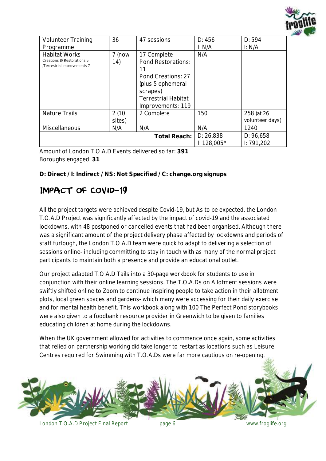

| <b>Volunteer Training</b><br>Programme                                             | 36              | 47 sessions                                                                                                                                       | D: 456<br>I: N/A          | D: 594<br>I: N/A              |
|------------------------------------------------------------------------------------|-----------------|---------------------------------------------------------------------------------------------------------------------------------------------------|---------------------------|-------------------------------|
| <b>Habitat Works</b><br>Creations 8/ Restorations 5<br>/Terrestrial improvements 7 | 7 (now<br>14)   | 17 Complete<br>Pond Restorations:<br>11<br>Pond Creations: 27<br>(plus 5 ephemeral<br>scrapes)<br><b>Terrestrial Habitat</b><br>Improvements: 119 | N/A                       |                               |
| <b>Nature Trails</b>                                                               | 2(10)<br>sites) | 2 Complete                                                                                                                                        | 150                       | 258 (at 26<br>volunteer days) |
| Miscellaneous                                                                      | N/A             | N/A                                                                                                                                               | N/A                       | 1240                          |
|                                                                                    |                 | Total Reach:                                                                                                                                      | D: 26,838<br>$1:128,005*$ | D: 96,658<br>1: 791,202       |

Amount of London T.O.A.D Events delivered so far: **391** Boroughs engaged: **31**

**D: Direct / I: Indirect /** *NS: Not Specified / C: change.org signups*

#### <span id="page-5-0"></span>Impact of Covid-19

All the project targets were achieved despite Covid-19, but As to be expected, the London T.O.A.D Project was significantly affected by the impact of covid-19 and the associated lockdowns, with 48 postponed or cancelled events that had been organised. Although there was a significant amount of the project delivery phase affected by lockdowns and periods of staff furlough, the London T.O.A.D team were quick to adapt to delivering a selection of sessions online- including committing to stay in touch with as many of the normal project participants to maintain both a presence and provide an educational outlet.

Our project adapted T.O.A.D Tails into a 30-page workbook for students to use in conjunction with their online learning sessions. The T.O.A.Ds on Allotment sessions were swiftly shifted online to Zoom to continue inspiring people to take action in their allotment plots, local green spaces and gardens- which many were accessing for their daily exercise and for mental health benefit. This workbook along with 100 *The Perfect Pond* storybooks were also given to a foodbank resource provider in Greenwich to be given to families educating children at home during the lockdowns.

When the UK government allowed for activities to commence once again, some activities that relied on partnership working did take longer to restart as locations such as Leisure Centres required for Swimming with T.O.A.Ds were far more cautious on re-opening.

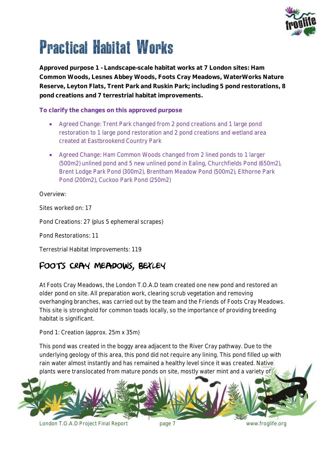

# <span id="page-6-0"></span>Practical Habitat Works

*Approved purpose 1 - Landscape-scale habitat works at 7 London sites: Ham Common Woods, Lesnes Abbey Woods, Foots Cray Meadows, WaterWorks Nature Reserve, Leyton Flats, Trent Park and Ruskin Park; including 5 pond restorations, 8 pond creations and 7 terrestrial habitat improvements.*

**To clarify the changes on this approved purpose**

- Agreed Change: Trent Park changed from 2 pond creations and 1 large pond restoration to 1 large pond restoration and 2 pond creations and wetland area created at Eastbrookend Country Park
- Agreed Change: Ham Common Woods changed from 2 lined ponds to 1 larger (500m2) unlined pond and 5 new unlined pond in Ealing, Churchfields Pond (650m2), Brent Lodge Park Pond (300m2), Brentham Meadow Pond (500m2), Elthorne Park Pond (200m2), Cuckoo Park Pond (250m2)

Overview:

Sites worked on: 17

Pond Creations: 27 (plus 5 ephemeral scrapes)

Pond Restorations: 11

Terrestrial Habitat Improvements: 119

### <span id="page-6-1"></span>FOOTS CRAY MEADOWS, BEXLEY

At Foots Cray Meadows, the London T.O.A.D team created one new pond and restored an older pond on site. All preparation work, clearing scrub vegetation and removing overhanging branches, was carried out by the team and the Friends of Foots Cray Meadows. This site is stronghold for common toads locally, so the importance of providing breeding habitat is significant.

Pond 1: Creation (approx. 25m x 35m)

This pond was created in the boggy area adjacent to the River Cray pathway. Due to the underlying geology of this area, this pond did not require any lining. This pond filled up with rain water almost instantly and has remained a healthy level since it was created. Native plants were translocated from mature ponds on site, mostly water mint and a variety of



London T.O.A.D Project Final Report page 7 www.froglife.org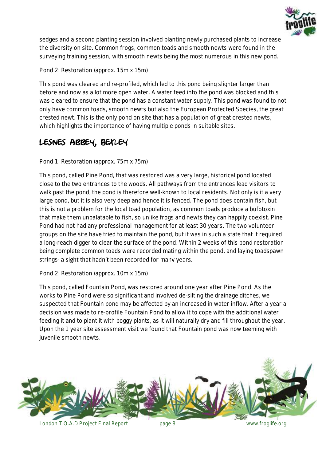

sedges and a second planting session involved planting newly purchased plants to increase the diversity on site. Common frogs, common toads and smooth newts were found in the surveying training session, with smooth newts being the most numerous in this new pond.

Pond 2: Restoration (approx. 15m x 15m)

This pond was cleared and re-profiled, which led to this pond being slighter larger than before and now as a lot more open water. A water feed into the pond was blocked and this was cleared to ensure that the pond has a constant water supply. This pond was found to not only have common toads, smooth newts but also the European Protected Species, the great crested newt. This is the only pond on site that has a population of great crested newts, which highlights the importance of having multiple ponds in suitable sites.

#### <span id="page-7-0"></span>Lesnes Abbey, Bexley

Pond 1: Restoration (approx. 75m x 75m)

This pond, called Pine Pond, that was restored was a very large, historical pond located close to the two entrances to the woods. All pathways from the entrances lead visitors to walk past the pond, the pond is therefore well-known to local residents. Not only is it a very large pond, but it is also very deep and hence it is fenced. The pond does contain fish, but this is not a problem for the local toad population, as common toads produce a bufotoxin that make them unpalatable to fish, so unlike frogs and newts they can happily coexist. Pine Pond had not had any professional management for at least 30 years. The two volunteer groups on the site have tried to maintain the pond, but it was in such a state that it required a long-reach digger to clear the surface of the pond. Within 2 weeks of this pond restoration being complete common toads were recorded mating within the pond, and laying toadspawn strings- a sight that hadn't been recorded for many years.

Pond 2: Restoration (approx. 10m x 15m)

This pond, called Fountain Pond, was restored around one year after Pine Pond. As the works to Pine Pond were so significant and involved de-silting the drainage ditches, we suspected that Fountain pond may be affected by an increased in water inflow. After a year a decision was made to re-profile Fountain Pond to allow it to cope with the additional water feeding it and to plant it with boggy plants, as it will naturally dry and fill throughout the year. Upon the 1 year site assessment visit we found that Fountain pond was now teeming with juvenile smooth newts.

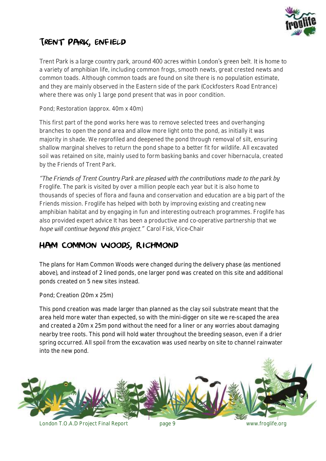

### <span id="page-8-0"></span>Trent Park, Enfield

Trent Park is a large country park, around 400 acres within London's green belt. It is home to a variety of amphibian life, including common frogs, smooth newts, great crested newts and common toads. Although common toads are found on site there is no population estimate, and they are mainly observed in the Eastern side of the park (Cockfosters Road Entrance) where there was only 1 large pond present that was in poor condition.

Pond; Restoration (approx. 40m x 40m)

This first part of the pond works here was to remove selected trees and overhanging branches to open the pond area and allow more light onto the pond, as initially it was majority in shade. We reprofiled and deepened the pond through removal of silt, ensuring shallow marginal shelves to return the pond shape to a better fit for wildlife. All excavated soil was retained on site, mainly used to form basking banks and cover hibernacula, created by the Friends of Trent Park.

"The Friends of Trent Country Park are pleased with the contributions made to the park by *Froglife. The park is visited by over a million people each year but it is also home to thousands of species of flora and fauna and conservation and education are a big part of the Friends mission. Froglife has helped with both by improving existing and creating new amphibian habitat and by engaging in fun and interesting outreach programmes. Froglife has also provided expert advice It has been a productive and co-operative partnership that we*  hope will continue beyond this project." Carol Fisk, Vice-Chair

#### <span id="page-8-1"></span>Ham Common Woods, Richmond

The plans for Ham Common Woods were changed during the delivery phase (as mentioned above), and instead of 2 lined ponds, one larger pond was created on this site and additional ponds created on 5 new sites instead.

Pond; Creation (20m x 25m)

This pond creation was made larger than planned as the clay soil substrate meant that the area held more water than expected, so with the mini-digger on site we re-scaped the area and created a 20m x 25m pond without the need for a liner or any worries about damaging nearby tree roots. This pond will hold water throughout the breeding season, even if a drier spring occurred. All spoil from the excavation was used nearby on site to channel rainwater into the new pond.

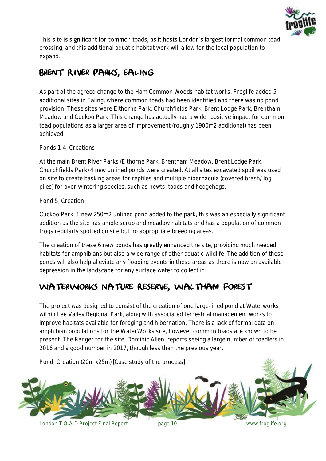

This site is significant for common toads, as it hosts London's largest formal common toad crossing, and this additional aquatic habitat work will allow for the local population to expand.

### <span id="page-9-0"></span>Brent River Parks, Ealing

As part of the agreed change to the Ham Common Woods habitat works, Froglife added 5 additional sites in Ealing, where common toads had been identified and there was no pond provision. These sites were Elthorne Park, Churchfields Park, Brent Lodge Park, Brentham Meadow and Cuckoo Park. This change has actually had a wider positive impact for common toad populations as a larger area of improvement (roughly 1900m2 additional) has been achieved.

#### Ponds 1-4; Creations

At the main Brent River Parks (Elthorne Park, Brentham Meadow, Brent Lodge Park, Churchfields Park) 4 new unlined ponds were created. At all sites excavated spoil was used on site to create basking areas for reptiles and multiple hibernacula (covered brash/ log piles) for over-wintering species, such as newts, toads and hedgehogs.

#### Pond 5; Creation

Cuckoo Park: 1 new 250m2 unlined pond added to the park, this was an especially significant addition as the site has ample scrub and meadow habitats and has a population of common frogs regularly spotted on site but no appropriate breeding areas.

The creation of these 6 new ponds has greatly enhanced the site, providing much needed habitats for amphibians but also a wide range of other aquatic wildlife. The addition of these ponds will also help alleviate any flooding events in these areas as there is now an available depression in the landscape for any surface water to collect in.

#### <span id="page-9-1"></span>WaterWorks Nature Reserve, Waltham Forest

The project was designed to consist of the creation of one large-lined pond at Waterworks within Lee Valley Regional Park, along with associated terrestrial management works to improve habitats available for foraging and hibernation. There is a lack of formal data on amphibian populations for the WaterWorks site, however common toads are known to be present. The Ranger for the site, Dominic Allen, reports seeing a large number of toadlets in 2016 and a good number in 2017, though less than the previous year.

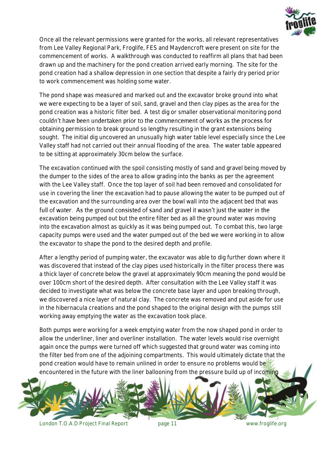

Once all the relevant permissions were granted for the works, all relevant representatives from Lee Valley Regional Park, Froglife, FES and Maydencroft were present on site for the commencement of works. A walkthrough was conducted to reaffirm all plans that had been drawn up and the machinery for the pond creation arrived early morning. The site for the pond creation had a shallow depression in one section that despite a fairly dry period prior to work commencement was holding some water.

The pond shape was measured and marked out and the excavator broke ground into what we were expecting to be a layer of soil, sand, gravel and then clay pipes as the area for the pond creation was a historic filter bed. A test dig or smaller observational monitoring pond couldn't have been undertaken prior to the commencement of works as the process for obtaining permission to break ground so lengthy resulting in the grant extensions being sought. The initial dig uncovered an unusually high water table level especially since the Lee Valley staff had not carried out their annual flooding of the area. The water table appeared to be sitting at approximately 30cm below the surface.

The excavation continued with the spoil consisting mostly of sand and gravel being moved by the dumper to the sides of the area to allow grading into the banks as per the agreement with the Lee Valley staff. Once the top layer of soil had been removed and consolidated for use in covering the liner the excavation had to pause allowing the water to be pumped out of the excavation and the surrounding area over the bowl wall into the adjacent bed that was full of water. As the ground consisted of sand and gravel it wasn't just the water in the excavation being pumped out but the entire filter bed as all the ground water was moving into the excavation almost as quickly as it was being pumped out. To combat this, two large capacity pumps were used and the water pumped out of the bed we were working in to allow the excavator to shape the pond to the desired depth and profile.

After a lengthy period of pumping water, the excavator was able to dig further down where it was discovered that instead of the clay pipes used historically in the filter process there was a thick layer of concrete below the gravel at approximately 90cm meaning the pond would be over 100cm short of the desired depth. After consultation with the Lee Valley staff it was decided to investigate what was below the concrete base layer and upon breaking through, we discovered a nice layer of natural clay. The concrete was removed and put aside for use in the hibernacula creations and the pond shaped to the original design with the pumps still working away emptying the water as the excavation took place.

Both pumps were working for a week emptying water from the now shaped pond in order to allow the underliner, liner and overliner installation. The water levels would rise overnight again once the pumps were turned off which suggested that ground water was coming into the filter bed from one of the adjoining compartments. This would ultimately dictate that the pond creation would have to remain unlined in order to ensure no problems would be encountered in the future with the liner ballooning from the pressure build up of incoming

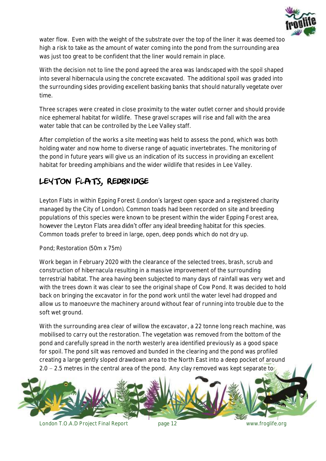

water flow. Even with the weight of the substrate over the top of the liner it was deemed too high a risk to take as the amount of water coming into the pond from the surrounding area was just too great to be confident that the liner would remain in place.

With the decision not to line the pond agreed the area was landscaped with the spoil shaped into several hibernacula using the concrete excavated. The additional spoil was graded into the surrounding sides providing excellent basking banks that should naturally vegetate over time.

Three scrapes were created in close proximity to the water outlet corner and should provide nice ephemeral habitat for wildlife. These gravel scrapes will rise and fall with the area water table that can be controlled by the Lee Valley staff.

After completion of the works a site meeting was held to assess the pond, which was both holding water and now home to diverse range of aquatic invertebrates. The monitoring of the pond in future years will give us an indication of its success in providing an excellent habitat for breeding amphibians and the wider wildlife that resides in Lee Valley.

### <span id="page-11-0"></span>LEYTON FLATS, REDBRIDGE

Leyton Flats in within Epping Forest (London's largest open space and a registered charity managed by the City of London). Common toads had been recorded on site and breeding populations of this species were known to be present within the wider Epping Forest area, however the Leyton Flats area didn't offer any ideal breeding habitat for this species. Common toads prefer to breed in large, open, deep ponds which do not dry up.

Pond; Restoration (50m x 75m)

Work began in February 2020 with the clearance of the selected trees, brash, scrub and construction of hibernacula resulting in a massive improvement of the surrounding terrestrial habitat. The area having been subjected to many days of rainfall was very wet and with the trees down it was clear to see the original shape of Cow Pond. It was decided to hold back on bringing the excavator in for the pond work until the water level had dropped and allow us to manoeuvre the machinery around without fear of running into trouble due to the soft wet ground.

With the surrounding area clear of willow the excavator, a 22 tonne long reach machine, was mobilised to carry out the restoration. The vegetation was removed from the bottom of the pond and carefully spread in the north westerly area identified previously as a good space for spoil. The pond silt was removed and bunded in the clearing and the pond was profiled creating a large gently sloped drawdown area to the North East into a deep pocket of around 2.0 – 2.5 metres in the central area of the pond. Any clay removed was kept separate to



London T.O.A.D Project Final Report page 12 www.froglife.org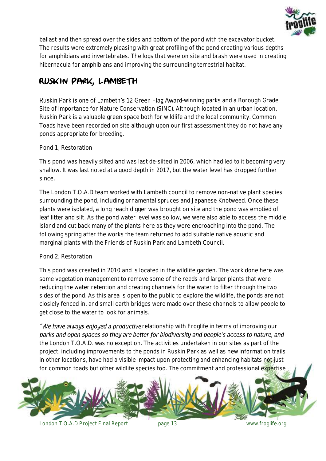

ballast and then spread over the sides and bottom of the pond with the excavator bucket. The results were extremely pleasing with great profiling of the pond creating various depths for amphibians and invertebrates. The logs that were on site and brash were used in creating hibernacula for amphibians and improving the surrounding terrestrial habitat.

### <span id="page-12-0"></span>Ruskin Park, Lambeth

Ruskin Park is one of Lambeth's 12 Green Flag Award-winning parks and a Borough Grade Site of Importance for Nature Conservation (SINC). Although located in an urban location, Ruskin Park is a valuable green space both for wildlife and the local community. Common Toads have been recorded on site although upon our first assessment they do not have any ponds appropriate for breeding.

#### Pond 1; Restoration

This pond was heavily silted and was last de-silted in 2006, which had led to it becoming very shallow. It was last noted at a good depth in 2017, but the water level has dropped further since.

The London T.O.A.D team worked with Lambeth council to remove non-native plant species surrounding the pond, including ornamental spruces and Japanese Knotweed. Once these plants were isolated, a long reach digger was brought on site and the pond was emptied of leaf litter and silt. As the pond water level was so low, we were also able to access the middle island and cut back many of the plants here as they were encroaching into the pond. The following spring after the works the team returned to add suitable native aquatic and marginal plants with the Friends of Ruskin Park and Lambeth Council.

#### Pond 2; Restoration

This pond was created in 2010 and is located in the wildlife garden. The work done here was some vegetation management to remove some of the reeds and larger plants that were reducing the water retention and creating channels for the water to filter through the two sides of the pond. As this area is open to the public to explore the wildlife, the ponds are not closlely fenced in, and small earth bridges were made over these channels to allow people to get close to the water to look for animals.

"We have always enjoyed a productive relationship with Froglife in terms of improving our parks and open spaces so they are better for biodiversity and people's access to nature, and *the London T.O.A.D. was no exception. The activities undertaken in our sites as part of the project, including improvements to the ponds in Ruskin Park as well as new information trails in other locations, have had a visible impact upon protecting and enhancing habitats not just for common toads but other wildlife species too. The commitment and professional expertise* 



London T.O.A.D Project Final Report page 13 www.froglife.org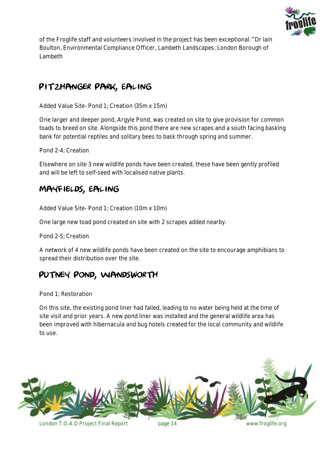

*of the Froglife staff and volunteers involved in the project has been exceptional. Dr Iain Boulton, Environmental Compliance Officer, Lambeth Landscapes, London Borough of Lambeth*

#### <span id="page-13-0"></span>Pitzhanger Park, Ealing

Added Value Site- Pond 1; Creation (35m x 15m)

One larger and deeper pond, Argyle Pond, was created on site to give provision for common toads to breed on site. Alongside this pond there are new scrapes and a south facing basking bank for potential reptiles and solitary bees to bask through spring and summer.

Pond 2-4; Creation

Elsewhere on site 3 new wildlife ponds have been created, these have been gently profiled and will be left to self-seed with localised native plants.

#### <span id="page-13-1"></span>Mayfields, Ealing

Added Value Site- Pond 1; Creation (10m x 10m)

One large new toad pond created on site with 2 scrapes added nearby.

Pond 2-5; Creation

A network of 4 new wildlife ponds have been created on the site to encourage amphibians to spread their distribution over the site.

#### <span id="page-13-2"></span>Putney Pond, Wandsworth

Pond 1; Restoration

On this site, the existing pond liner had failed, leading to no water being held at the time of site visit and prior years. A new pond liner was installed and the general wildlife area has been improved with hibernacula and bug hotels created for the local community and wildlife to use.

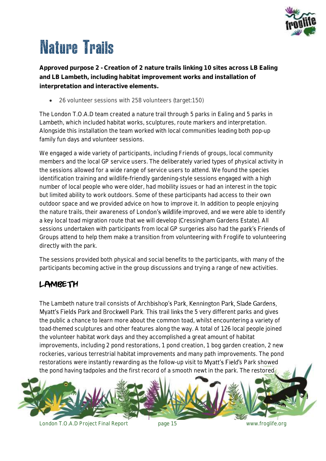

# <span id="page-14-0"></span>Nature Trails

*Approved purpose 2 - Creation of 2 nature trails linking 10 sites across LB Ealing and LB Lambeth, including habitat improvement works and installation of interpretation and interactive elements.*

26 volunteer sessions with 258 volunteers (*target:150*)

The London T.O.A.D team created a nature trail through 5 parks in Ealing and 5 parks in Lambeth, which included habitat works, sculptures, route markers and interpretation. Alongside this installation the team worked with local communities leading both pop-up family fun days and volunteer sessions.

We engaged a wide variety of participants, including Friends of groups, local community members and the local GP service users. The deliberately varied types of physical activity in the sessions allowed for a wide range of service users to attend. We found the species identification training and wildlife-friendly gardening-style sessions engaged with a high number of local people who were older, had mobility issues or had an interest in the topic but limited ability to work outdoors. Some of these participants had access to their own outdoor space and we provided advice on how to improve it. In addition to people enjoying the nature trails, their awareness of London's wildlife improved, and we were able to identify a key local toad migration route that we will develop (Cressingham Gardens Estate). All sessions undertaken with participants from local GP surgeries also had the park's Friends of Groups attend to help them make a transition from volunteering with Froglife to volunteering directly with the park.

The sessions provided both physical and social benefits to the participants, with many of the participants becoming active in the group discussions and trying a range of new activities.

#### <span id="page-14-1"></span>LAMBETH

The Lambeth nature trail consists of Archbishop's Park, Kennington Park, Slade Gardens, Mvatt's Fields Park and Brockwell Park. This trail links the 5 very different parks and gives the public a chance to learn more about the common toad, whilst encountering a variety of toad-themed sculptures and other features along the way. A total of 126 local people joined the volunteer habitat work days and they accomplished a great amount of habitat improvements, including 2 pond restorations, 1 pond creation, 1 bog garden creation, 2 new rockeries, various terrestrial habitat improvements and many path improvements. The pond restorations were instantly rewarding as the follow-up visit to Myatt's Field's Park showed the pond having tadpoles and the first record of a smooth newt in the park. The restored

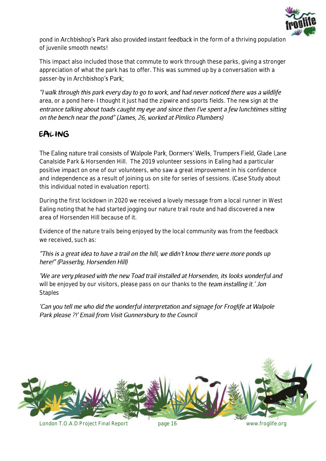

pond in Archbishop's Park also provided instant feedback in the form of a thriving population of juvenile smooth newts!

This impact also included those that commute to work through these parks, giving a stronger appreciation of what the park has to offer. This was summed up by a conversation with a passer-by in Archbishop's Park;

"I walk through this park every day to go to work, and had never noticed there was a wildlife *area, or a pond here- I thought it just had the zipwire and sports fields. The new sign at the*  entrance talking about toads caught my eye and since then I've spent a few lunchtimes sitting on the bench near the pond" (James, 26, worked at Pimlico Plumbers)

#### <span id="page-15-0"></span>EALING

The Ealing nature trail consists of Walpole Park, Dormers' Wells, Trumpers Field, Glade Lane Canalside Park & Horsenden Hill. The 2019 volunteer sessions in Ealing had a particular positive impact on one of our volunteers, who saw a great improvement in his confidence and independence as a result of joining us on site for series of sessions. (*Case Study about this individual noted in evaluation report*).

During the first lockdown in 2020 we received a lovely message from a local runner in West Ealing noting that he had started jogging our nature trail route and had discovered a new area of Horsenden Hill because of it.

Evidence of the nature trails being enjoyed by the local community was from the feedback we received, such as:

#### "This is a great idea to have a trail on the hill, we didn't know there were more ponds up here!" (Passerby. Horsenden Hill)

'We are very pleased with the new Toad trail installed at Horsenden, its looks wonderful and will be enjoyed by our visitors, please pass on our thanks to the team installing it.' Jon *Staples*

'Can you tell me who did the wonderful interpretation and signage for Froglife at Walpole Park please ?!' Email from Visit Gunnersbury to the Council

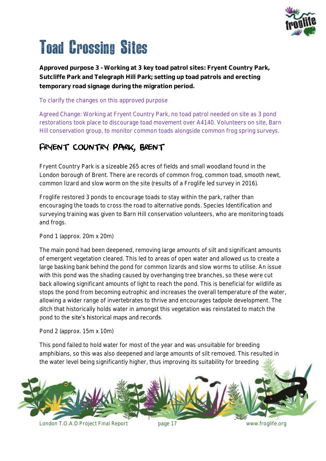

# <span id="page-16-0"></span>Toad Crossing Sites

*Approved purpose 3 - Working at 3 key toad patrol sites: Fryent Country Park, Sutcliffe Park and Telegraph Hill Park; setting up toad patrols and erecting temporary road signage during the migration period.*

#### To clarify the changes on this approved purpose

Agreed Change: Working at Fryent Country Park, no toad patrol needed on site as 3 pond restorations took place to discourage toad movement over A4140. Volunteers on site, Barn Hill conservation group, to monitor common toads alongside common frog spring surveys.

#### <span id="page-16-1"></span>Fryent Country Park, Brent

Fryent Country Park is a sizeable 265 acres of fields and small woodland found in the London borough of Brent. There are records of common frog, common toad, smooth newt, common lizard and slow worm on the site (results of a Froglife led survey in 2016).

Froglife restored 3 ponds to encourage toads to stay within the park, rather than encouraging the toads to cross the road to alternative ponds. Species Identification and surveying training was given to Barn Hill conservation volunteers, who are monitoring toads and frogs.

#### Pond 1 (approx. 20m x 20m)

The main pond had been deepened, removing large amounts of silt and significant amounts of emergent vegetation cleared. This led to areas of open water and allowed us to create a large basking bank behind the pond for common lizards and slow worms to utilise. An issue with this pond was the shading caused by overhanging tree branches, so these were cut back allowing significant amounts of light to reach the pond. This is beneficial for wildlife as stops the pond from becoming eutrophic and increases the overall temperature of the water, allowing a wider range of invertebrates to thrive and encourages tadpole development. The ditch that historically holds water in amongst this vegetation was reinstated to match the pond to the site's historical maps and records.

Pond 2 (approx. 15m x 10m)

This pond failed to hold water for most of the year and was unsuitable for breeding amphibians, so this was also deepened and large amounts of silt removed. This resulted in the water level being significantly higher, thus improving its suitability for breeding

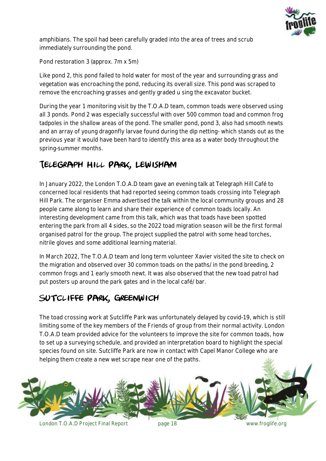

amphibians. The spoil had been carefully graded into the area of trees and scrub immediately surrounding the pond.

Pond restoration 3 (approx. 7m x 5m)

Like pond 2, this pond failed to hold water for most of the year and surrounding grass and vegetation was encroaching the pond, reducing its overall size. This pond was scraped to remove the encroaching grasses and gently graded u sing the excavator bucket.

During the year 1 monitoring visit by the T.O.A.D team, common toads were observed using all 3 ponds. Pond 2 was especially successful with over 500 common toad and common frog tadpoles in the shallow areas of the pond. The smaller pond, pond 3, also had smooth newts and an array of young dragonfly larvae found during the dip netting- which stands out as the previous year it would have been hard to identify this area as a water body throughout the spring-summer months.

### <span id="page-17-0"></span>Telegraph Hill Park, Lewisham

In January 2022, the London T.O.A.D team gave an evening talk at Telegraph Hill Café to concerned local residents that had reported seeing common toads crossing into Telegraph Hill Park. The organiser Emma advertised the talk within the local community groups and 28 people came along to learn and share their experience of common toads locally. An interesting development came from this talk, which was that toads have been spotted entering the park from all 4 sides, so the 2022 toad migration season will be the first formal organised patrol for the group. The project supplied the patrol with some head torches, nitrile gloves and some additional learning material.

In March 2022, The T.O.A.D team and long term volunteer Xavier visited the site to check on the migration and observed over 30 common toads on the paths/ in the pond breeding, 2 common frogs and 1 early smooth newt. It was also observed that the new toad patrol had put posters up around the park gates and in the local café/ bar.

### <span id="page-17-1"></span>Sutcliffe Park, Greenwich

The toad crossing work at Sutcliffe Park was unfortunately delayed by covid-19, which is still limiting some of the key members of the Friends of group from their normal activity. London T.O.A.D team provided advice for the volunteers to improve the site for common toads, how to set up a surveying schedule, and provided an interpretation board to highlight the special species found on site. Sutcliffe Park are now in contact with Capel Manor College who are helping them create a new wet scrape near one of the paths.

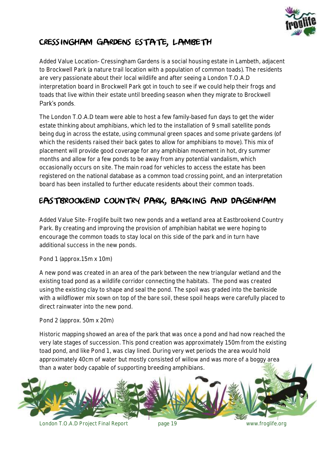

#### <span id="page-18-0"></span>Cressingham Gardens Estate, Lambeth

Added Value Location- Cressingham Gardens is a social housing estate in Lambeth, adjacent to Brockwell Park (a nature trail location with a population of common toads). The residents are very passionate about their local wildlife and after seeing a London T.O.A.D interpretation board in Brockwell Park got in touch to see if we could help their frogs and toads that live within their estate until breeding season when they migrate to Brockwell Park's ponds.

The London T.O.A.D team were able to host a few family-based fun days to get the wider estate thinking about amphibians, which led to the installation of 9 small satellite ponds being dug in across the estate, using communal green spaces and some private gardens (of which the residents raised their back gates to allow for amphibians to move). This mix of placement will provide good coverage for any amphibian movement in hot, dry summer months and allow for a few ponds to be away from any potential vandalism, which occasionally occurs on site. The main road for vehicles to access the estate has been registered on the national database as a common toad crossing point, and an interpretation board has been installed to further educate residents about their common toads.

### <span id="page-18-1"></span>Eastbrookend Country Park, Barking and Dagenham

Added Value Site- Froglife built two new ponds and a wetland area at Eastbrookend Country Park. By creating and improving the provision of amphibian habitat we were hoping to encourage the common toads to stay local on this side of the park and in turn have additional success in the new ponds.

Pond 1 (approx.15m x 10m)

A new pond was created in an area of the park between the new triangular wetland and the existing toad pond as a wildlife corridor connecting the habitats. The pond was created using the existing clay to shape and seal the pond. The spoil was graded into the bankside with a wildflower mix sown on top of the bare soil, these spoil heaps were carefully placed to direct rainwater into the new pond.

Pond 2 (approx. 50m x 20m)

Historic mapping showed an area of the park that was once a pond and had now reached the very late stages of succession. This pond creation was approximately 150m from the existing toad pond, and like Pond 1, was clay lined. During very wet periods the area would hold approximately 40cm of water but mostly consisted of willow and was more of a boggy area than a water body capable of supporting breeding amphibians.

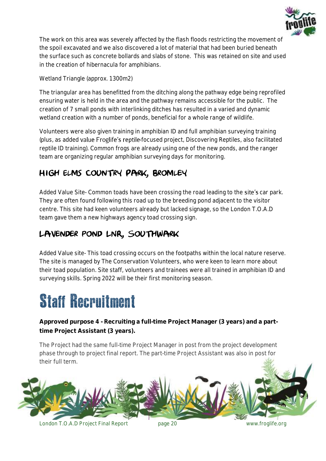

The work on this area was severely affected by the flash floods restricting the movement of the spoil excavated and we also discovered a lot of material that had been buried beneath the surface such as concrete bollards and slabs of stone. This was retained on site and used in the creation of hibernacula for amphibians.

Wetland Triangle (approx. 1300m2)

The triangular area has benefitted from the ditching along the pathway edge being reprofiled ensuring water is held in the area and the pathway remains accessible for the public. The creation of 7 small ponds with interlinking ditches has resulted in a varied and dynamic wetland creation with a number of ponds, beneficial for a whole range of wildlife.

Volunteers were also given training in amphibian ID and full amphibian surveying training (plus, as added value Froglife's reptile-focused project, Discovering Reptiles, also facilitated reptile ID training). Common frogs are already using one of the new ponds, and the ranger team are organizing regular amphibian surveying days for monitoring.

### <span id="page-19-0"></span>High Elms Country Park, Bromley

Added Value Site- Common toads have been crossing the road leading to the site's car park. They are often found following this road up to the breeding pond adjacent to the visitor centre. This site had keen volunteers already but lacked signage, so the London T.O.A.D team gave them a new highways agency toad crossing sign.

### <span id="page-19-1"></span>Lavender pond LNR, Southwark

Added Value site- This toad crossing occurs on the footpaths within the local nature reserve. The site is managed by The Conservation Volunteers, who were keen to learn more about their toad population. Site staff, volunteers and trainees were all trained in amphibian ID and surveying skills. Spring 2022 will be their first monitoring season.

### <span id="page-19-2"></span>Staff Recruitment

*Approved purpose 4 - Recruiting a full-time Project Manager (3 years) and a parttime Project Assistant (3 years).*

The Project had the same full-time Project Manager in post from the project development phase through to project final report. The part-time Project Assistant was also in post for their full term.

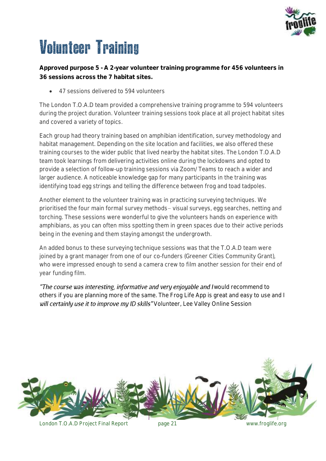

# <span id="page-20-0"></span>Volunteer Training

*Approved purpose 5 - A 2-year volunteer training programme for 456 volunteers in 36 sessions across the 7 habitat sites.*

47 sessions delivered to 594 volunteers

The London T.O.A.D team provided a comprehensive training programme to 594 volunteers during the project duration. Volunteer training sessions took place at all project habitat sites and covered a variety of topics.

Each group had theory training based on amphibian identification, survey methodology and habitat management. Depending on the site location and facilities, we also offered these training courses to the wider public that lived nearby the habitat sites. The London T.O.A.D team took learnings from delivering activities online during the lockdowns and opted to provide a selection of follow-up training sessions via Zoom/ Teams to reach a wider and larger audience. A noticeable knowledge gap for many participants in the training was identifying toad egg strings and telling the difference between frog and toad tadpoles.

Another element to the volunteer training was in practicing surveying techniques. We prioritised the four main formal survey methods– visual surveys, egg searches, netting and torching. These sessions were wonderful to give the volunteers hands on experience with amphibians, as you can often miss spotting them in green spaces due to their active periods being in the evening and them staying amongst the undergrowth.

An added bonus to these surveying technique sessions was that the T.O.A.D team were joined by a grant manager from one of our co-funders (Greener Cities Community Grant), who were impressed enough to send a camera crew to film another session for their end of year funding film.

"The course was interesting, informative and very enjoyable and I would recommend to *others if you are planning more of the same. The Frog Life App is great and easy to use and I*  will certainly use it to improve my ID skills" Volunteer, Lee Valley Online Session

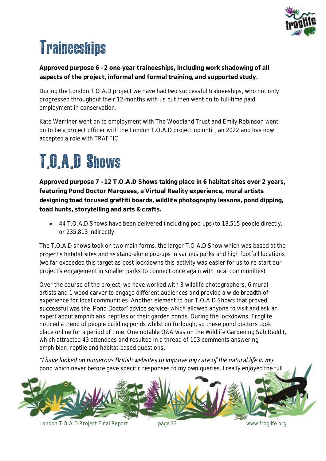

# <span id="page-21-0"></span>**Traineeships**

*Approved purpose 6 - 2 one-year traineeships, including work shadowing of all aspects of the project, informal and formal training, and supported study.*

During the London T.O.A.D project we have had two successful traineeships, who not only progressed throughout their 12-months with us but then went on to full-time paid employment in conservation.

Kate Warriner went on to employment with The Woodland Trust and Emily Robinson went on to be a project officer with the London T.O.A.D project up until Jan 2022 and has now accepted a role with TRAFFIC.

# <span id="page-21-1"></span>T.O.A.D Shows

*Approved purpose 7 - 12 T.O.A.D Shows taking place in 6 habitat sites over 2 years, featuring Pond Doctor Marquees, a Virtual Reality experience, mural artists designing toad focused graffiti boards, wildlife photography lessons, pond dipping, toad hunts, storytelling and arts & crafts.*

• 44 T.O.A.D Shows have been delivered (including pop-ups) to 18,515 people directly, or 235,813 indirectly

The T.O.A.D shows took on two main forms, the larger T.O.A.D Show which was based at the project's habitat sites and as stand-alone pop-ups in various parks and high footfall locations (we far exceeded this target as post lockdowns this activity was easier for us to re-start our project's engagement in smaller parks to connect once again with local communities).

Over the course of the project, we have worked with 3 wildlife photographers, 6 mural artists and 1 wood carver to engage different audiences and provide a wide breadth of experience for local communities. Another element to our T.O.A.D Shows that proved successful was the 'Pond Doctor' advice service-which allowed anyone to visit and ask an expert about amphibians, reptiles or their garden ponds. During the lockdowns, Froglife noticed a trend of people building ponds whilst on furlough, so these pond doctors took place online for a period of time. One notable Q&A was on the Wildlife Gardening Sub Reddit, which attracted 43 attendees and resulted in a thread of 103 comments answering amphibian, reptile and habitat-based questions.

"I have looked on numerous British websites to improve my care of the natural life in my *pond which never before gave specific responses to my own queries. I really enjoyed the full* 

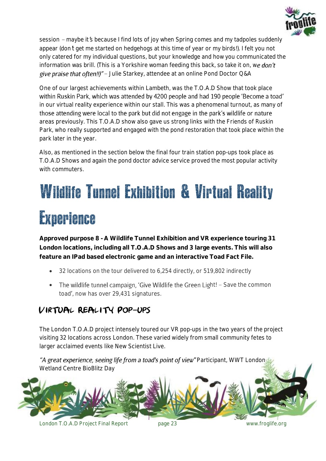

*session – maybe it s because I find lots of joy when Spring comes and my tadpoles suddenly appear (don t get me started on hedgehogs at this time of year or my birds!). I felt you not only catered for my individual questions, but your knowledge and how you communicated the information was brill. (This is a Yorkshire woman feeding this back, so take it on, we don't* give praise that often!!)" - Julie Starkey, attendee at an online Pond Doctor Q&A

One of our largest achievements within Lambeth, was the T.O.A.D Show that took place within Ruskin Park, which was attended by 4200 people and had 190 people 'Become a toad' in our virtual reality experience within our stall. This was a phenomenal turnout, as many of those attending were local to the park but did not engage in the park's wildlife or nature areas previously. This T.O.A.D show also gave us strong links with the Friends of Ruskin Park, who really supported and engaged with the pond restoration that took place within the park later in the year.

Also, as mentioned in the section below the final four train station pop-ups took place as T.O.A.D Shows and again the pond doctor advice service proved the most popular activity with commuters.

# <span id="page-22-0"></span>Wildlife Tunnel Exhibition & Virtual Reality Experience

*Approved purpose 8 - A Wildlife Tunnel Exhibition and VR experience touring 31 London locations, including all T.O.A.D Shows and 3 large events. This will also feature an IPad based electronic game and an interactive Toad Fact File.*

- 32 locations on the tour delivered to 6,254 directly, or 519,802 indirectly
- The wildlife tunnel campaign, 'Give Wildlife the Green Light! Save the common toad', now has over 29,431 signatures.

### <span id="page-22-1"></span>Virtual Reality Pop-ups

The London T.O.A.D project intensely toured our VR pop-ups in the two years of the project visiting 32 locations across London. These varied widely from small community fetes to larger acclaimed events like New Scientist Live.

"A great experience, seeing life from a toad's point of view" Participant, WWT London Wetland Centre BioBlitz Day

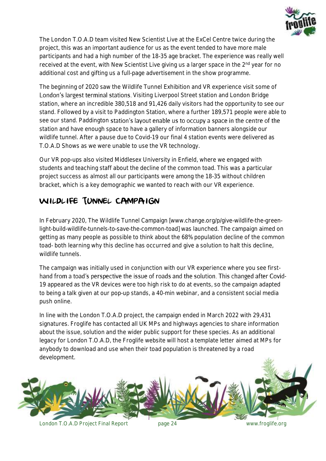

The London T.O.A.D team visited New Scientist Live at the ExCel Centre twice during the project, this was an important audience for us as the event tended to have more male participants and had a high number of the 18-35 age bracket. The experience was really well received at the event, with New Scientist Live giving us a larger space in the 2<sup>nd</sup> year for no additional cost and gifting us a full-page advertisement in the show programme.

The beginning of 2020 saw the Wildlife Tunnel Exhibition and VR experience visit some of London's largest terminal stations. Visiting Liverpool Street station and London Bridge station, where an incredible 380,518 and 91,426 daily visitors had the opportunity to see our stand. Followed by a visit to Paddington Station, where a further 189,571 people were able to see our stand. Paddington station's layout enable us to occupy a space in the centre of the station and have enough space to have a gallery of information banners alongside our wildlife tunnel. After a pause due to Covid-19 our final 4 station events were delivered as T.O.A.D Shows as we were unable to use the VR technology.

Our VR pop-ups also visited Middlesex University in Enfield, where we engaged with students and teaching staff about the decline of the common toad. This was a particular project success as almost all our participants were among the 18-35 without children bracket, which is a key demographic we wanted to reach with our VR experience.

#### <span id="page-23-0"></span>WILDLIFE TUNNEL CAMPAIGN

In February 2020, The Wildlife Tunnel Campaign [www.change.org/p/give-wildlife-the-greenlight-build-wildlife-tunnels-to-save-the-common-toad] was launched. The campaign aimed on getting as many people as possible to think about the 68% population decline of the common toad- both learning why this decline has occurred and give a solution to halt this decline, wildlife tunnels.

The campaign was initially used in conjunction with our VR experience where you see first hand from a toad's perspective the issue of roads and the solution. This changed after Covid-19 appeared as the VR devices were too high risk to do at events, so the campaign adapted to being a talk given at our pop-up stands, a 40-min webinar, and a consistent social media push online.

In line with the London T.O.A.D project, the campaign ended in March 2022 with 29,431 signatures. Froglife has contacted all UK MPs and highways agencies to share information about the issue, solution and the wider public support for these species. As an additional legacy for London T.O.A.D, the Froglife website will host a template letter aimed at MPs for anybody to download and use when their toad population is threatened by a road development.

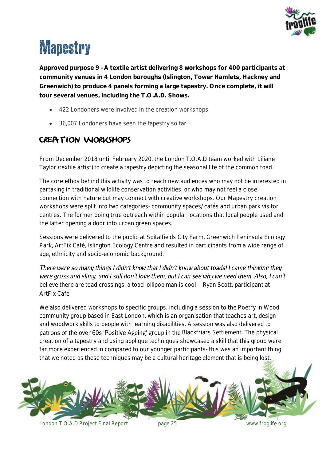

# <span id="page-24-0"></span>**Mapestry**

*Approved purpose 9 - A textile artist delivering 8 workshops for 400 participants at community venues in 4 London boroughs (Islington, Tower Hamlets, Hackney and Greenwich) to produce 4 panels forming a large tapestry. Once complete, it will tour several venues, including the T.O.A.D. Shows.*

- 422 Londoners were involved in the creation workshops
- 36,007 Londoners have seen the tapestry so far

#### <span id="page-24-1"></span>CREATION WORKSHOPS

From December 2018 until February 2020, the London T.O.A.D team worked with Liliane Taylor (textile artist) to create a tapestry depicting the seasonal life of the common toad.

The core ethos behind this activity was to reach new audiences who may not be interested in partaking in traditional wildlife conservation activities, or who may not feel a close connection with nature but may connect with creative workshops. Our Mapestry creation workshops were split into two categories- community spaces/ cafés and urban park visitor centres. The former doing true outreach within popular locations that local people used and the latter opening a door into urban green spaces.

Sessions were delivered to the public at Spitalfields City Farm, Greenwich Peninsula Ecology Park, ArtFix Café, Islington Ecology Centre and resulted in participants from a wide range of age, ethnicity and socio-economic background.

There were so many things I didn't know that I didn't know about toads! I came thinking they were gross and slimy, and I still don't love them, but I can see why we need them. Also, I can't believe there are toad crossings, a toad lollipop man is cool – Ryan Scott, participant at *ArtFix Café*

We also delivered workshops to specific groups, including a session to the Poetry in Wood community group based in East London, which is an organisation that teaches art, design and woodwork skills to people with learning disabilities. A session was also delivered to patrons of the over 60s 'Positive Ageing' group in the Blackfriars Settlement. The physical creation of a tapestry and using applique techniques showcased a skill that this group were far more experienced in compared to our younger participants- this was an important thing that we noted as these techniques may be a cultural heritage element that is being lost.

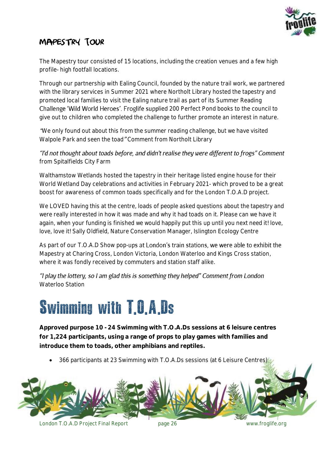

### <span id="page-25-0"></span>Mapestry Tour

The Mapestry tour consisted of 15 locations, including the creation venues and a few high profile- high footfall locations.

Through our partnership with Ealing Council, founded by the nature trail work, we partnered with the library services in Summer 2021 where Northolt Library hosted the tapestry and promoted local families to visit the Ealing nature trail as part of its Summer Reading Challenge 'Wild World Heroes'. Froglife supplied 200 Perfect Pond books to the council to give out to children who completed the challenge to further promote an interest in nature.

*We only found out about this from the summer reading challenge, but we have visited Walpole Park and seen the toad Comment from Northolt Library*

"I'd not thought about toads before, and didn't realise they were different to frogs" Comment *from Spitalfields City Farm*

Walthamstow Wetlands hosted the tapestry in their heritage listed engine house for their World Wetland Day celebrations and activities in February 2021- which proved to be a great boost for awareness of common toads specifically and for the London T.O.A.D project.

*We LOVED having this at the centre, loads of people asked questions about the tapestry and were really interested in how it was made and why it had toads on it. Please can we have it*  again, when your funding is finished we would happily put this up until you next need it! love, *love, love it! Sally Oldfield, Nature Conservation Manager, Islington Ecology Centre*

As part of our T.O.A.D Show pop-ups at London's train stations, we were able to exhibit the Mapestry at Charing Cross, London Victoria, London Waterloo and Kings Cross station, where it was fondly received by commuters and station staff alike.

"I play the lottery, so I am glad this is something they helped" Comment from London *Waterloo Station*

### <span id="page-25-1"></span>Swimming with T.O.A.Ds

*Approved purpose 10 - 24 Swimming with T.O.A.Ds sessions at 6 leisure centres for 1,224 participants, using a range of props to play games with families and introduce them to toads, other amphibians and reptiles.*

366 participants at 23 Swimming with T.O.A.Ds sessions (at 6 Leisure Centres)

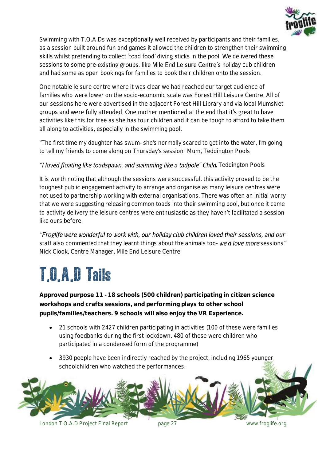

Swimming with T.O.A.Ds was exceptionally well received by participants and their families, as a session built around fun and games it allowed the children to strengthen their swimming skills whilst pretending to collect 'toad food' diving sticks in the pool. We delivered these sessions to some pre-existing groups, like Mile End Leisure Centre's holiday cub children and had some as open bookings for families to book their children onto the session.

One notable leisure centre where it was clear we had reached our target audience of families who were lower on the socio-economic scale was Forest Hill Leisure Centre. All of our sessions here were advertised in the adjacent Forest Hill Library and via local MumsNet groups and were fully attended. One mother mentioned at the end that it's great to have activities like this for free as she has four children and it can be tough to afford to take them all along to activities, especially in the swimming pool.

*"The first time my daughter has swum- she's normally scared to get into the water, I'm going to tell my friends to come along on Thursday's session" Mum, Teddington Pools*

#### "**I loved floating like toadspawn, and swimming like a tadpole" Child**, Teddington Pools

It is worth noting that although the sessions were successful, this activity proved to be the toughest public engagement activity to arrange and organise as many leisure centres were not used to partnership working with external organisations. There was often an initial worry that we were suggesting releasing common toads into their swimming pool, but once it came to activity delivery the leisure centres were enthusiastic as they haven't facilitated a session like ours before.

"Froglife were wonderful to work with, our holiday club children loved their sessions, and our staff also commented that they learnt things about the animals too- **we'd love more** sessions" *Nick Clook, Centre Manager, Mile End Leisure Centre*

# <span id="page-26-0"></span>T.O.A.D Tails

*Approved purpose 11 - 18 schools (500 children) participating in citizen science workshops and crafts sessions, and performing plays to other school pupils/families/teachers. 9 schools will also enjoy the VR Experience.*

- 21 schools with 2427 children participating in activities (100 of these were families using foodbanks during the first lockdown. 480 of these were children who participated in a condensed form of the programme)
- 3930 people have been indirectly reached by the project, including 1965 younger schoolchildren who watched the performances.

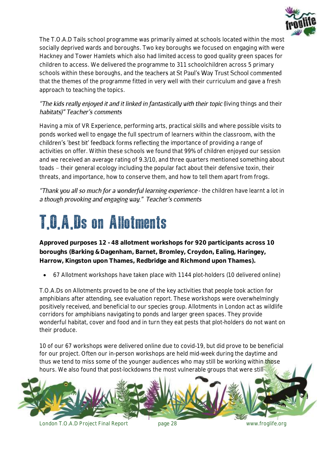

The T.O.A.D Tails school programme was primarily aimed at schools located within the most socially deprived wards and boroughs. Two key boroughs we focused on engaging with were Hackney and Tower Hamlets which also had limited access to good quality green spaces for children to access. We delivered the programme to 311 schoolchildren across 5 primary schools within these boroughs, and the teachers at St Paul's Way Trust School commented that the themes of the programme fitted in very well with their curriculum and gave a fresh approach to teaching the topics.

#### "The kids really enjoyed it and it linked in fantastically with their topic (living things and their habitats)" Teacher's comments

Having a mix of VR Experience, performing arts, practical skills and where possible visits to ponds worked well to engage the full spectrum of learners within the classroom, with the children's 'best bit' feedback forms reflecting the importance of providing a range of activities on offer. Within these schools we found that 99% of children enjoyed our session and we received an average rating of 9.3/10, and three quarters mentioned something about toads – their general ecology including the popular fact about their defensive toxin, their threats, and importance, how to conserve them, and how to tell them apart from frogs.

*Thank you all so much for a wonderful learning experience - the children have learnt a lot in* a though provoking and engaging way." Teacher's comments

### <span id="page-27-0"></span>T.O.A.Ds on Allotments

**Approved purposes 12 - 48 allotment workshops for 920 participants across 10 boroughs (Barking & Dagenham, Barnet, Bromley, Croydon, Ealing, Haringey, Harrow, Kingston upon Thames, Redbridge and Richmond upon Thames).**

67 Allotment workshops have taken place with 1144 plot-holders (10 delivered online)

T.O.A.Ds on Allotments proved to be one of the key activities that people took action for amphibians after attending, see evaluation report. These workshops were overwhelmingly positively received, and beneficial to our species group. Allotments in London act as wildlife corridors for amphibians navigating to ponds and larger green spaces. They provide wonderful habitat, cover and food and in turn they eat pests that plot-holders do not want on their produce.

10 of our 67 workshops were delivered online due to covid-19, but did prove to be beneficial for our project. Often our in-person workshops are held mid-week during the daytime and thus we tend to miss some of the younger audiences who may still be working within those hours. We also found that post-lockdowns the most vulnerable groups that were still

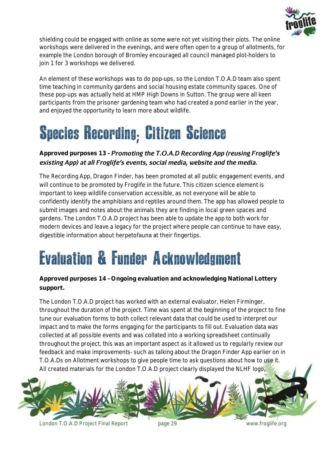

shielding could be engaged with online as some were not yet visiting their plots. The online workshops were delivered in the evenings, and were often open to a group of allotments, for example the London borough of Bromley encouraged all council managed plot-holders to join 1 for 3 workshops we delivered.

An element of these workshops was to do pop-ups, so the London T.O.A.D team also spent time teaching in community gardens and social housing estate community spaces. One of these pop-ups was actually held at HMP High Downs in Sutton. The group were all keen participants from the prisoner gardening team who had created a pond earlier in the year, and enjoyed the opportunity to learn more about wildlife.

# <span id="page-28-0"></span>Species Recording; Citizen Science

#### Approved purposes 13 - **Promoting the T.O.A.D Recording App (reusing Froglife's** existing App) at all Froglife's events, social media, website and the media.

The Recording App, Dragon Finder, has been promoted at all public engagement events, and will continue to be promoted by Froglife in the future. This citizen science element is important to keep wildlife conservation accessible, as not everyone will be able to confidently identify the amphibians and reptiles around them. The app has allowed people to submit images and notes about the animals they are finding in local green spaces and gardens. The London T.O.A.D project has been able to update the app to both work for modern devices and leave a legacy for the project where people can continue to have easy, digestible information about herpetofauna at their fingertips.

### <span id="page-28-1"></span>Evaluation & Funder Acknowledgment

#### *Approved purposes 14 - Ongoing evaluation and acknowledging National Lottery support.*

The London T.O.A.D project has worked with an external evaluator, Helen Firminger, throughout the duration of the project. Time was spent at the beginning of the project to fine tune our evaluation forms to both collect relevant data that could be used to interpret our impact and to make the forms engaging for the participants to fill out. Evaluation data was collected at all possible events and was collated into a working spreadsheet continually throughout the project, this was an important aspect as it allowed us to regularly review our feedback and make improvements- such as talking about the Dragon Finder App earlier on in T.O.A.Ds on Allotment workshops to give people time to ask questions about how to use it. All created materials for the London T.O.A.D project clearly displayed the NLHF logo,

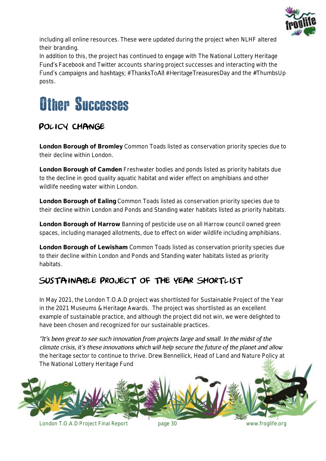

including all online resources. These were updated during the project when NLHF altered their branding.

In addition to this, the project has continued to engage with The National Lottery Heritage Facebook and Twitter accounts sharing project successes and interacting with the Fund's campaigns and hashtags;  $\#$ ThanksToAll  $\#$ HeritageTreasuresDay and the  $\#$ ThumbsUp posts.

### <span id="page-29-0"></span>Other Successes

### <span id="page-29-1"></span>POLICY CHANGE

**London Borough of Bromley** Common Toads listed as conservation priority species due to their decline within London.

**London Borough of Camden** Freshwater bodies and ponds listed as priority habitats due to the decline in good quality aquatic habitat and wider effect on amphibians and other wildlife needing water within London.

**London Borough of Ealing** Common Toads listed as conservation priority species due to their decline within London and Ponds and Standing water habitats listed as priority habitats.

**London Borough of Harrow** Banning of pesticide use on all Harrow council owned green spaces, including managed allotments, due to effect on wider wildlife including amphibians.

**London Borough of Lewisham** Common Toads listed as conservation priority species due to their decline within London and Ponds and Standing water habitats listed as priority habitats.

### <span id="page-29-2"></span>Sustainable Project of the Year Shortlist

In May 2021, the London T.O.A.D project was shortlisted for Sustainable Project of the Year in the 2021 Museums & Heritage Awards. The project was shortlisted as an excellent example of sustainable practice, and although the project did not win, we were delighted to have been chosen and recognized for our sustainable practices.

"It's been great to see such innovation from projects large and small. In the midst of the climate crisis, it's these innovations which will help secure the future of the planet and allow *the heritage sector to continue to thrive. Drew Bennellick, Head of Land and Nature Policy at The National Lottery Heritage Fund*

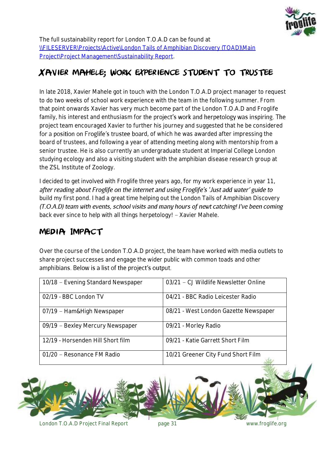

The full sustainability report for London T.O.A.D can be found at [\\FILESERVER\Projects\Active\London Tails of Amphibian Discovery \(TOAD\)\Main](file://///FILESERVER/Projects/Active/London%20Tails%20of%20Amphibian%20Discovery%20(TOAD)/Main%20Project/Project%20Management/Sustainability%20Report)  [Project\Project Management\Sustainability Report.](file://///FILESERVER/Projects/Active/London%20Tails%20of%20Amphibian%20Discovery%20(TOAD)/Main%20Project/Project%20Management/Sustainability%20Report)

#### <span id="page-30-0"></span>Xavier Mahele; work experience student to trustee

In late 2018, Xavier Mahele got in touch with the London T.O.A.D project manager to request to do two weeks of school work experience with the team in the following summer. From that point onwards Xavier has very much become part of the London T.O.A.D and Froglife family, his interest and enthusiasm for the project's work and herpetology was inspiring. The project team encouraged Xavier to further his journey and suggested that he be considered for a position on Froglife's trustee board, of which he was awarded after impressing the board of trustees, and following a year of attending meeting along with mentorship from a senior trustee. He is also currently an undergraduate student at Imperial College London studying ecology and also a visiting student with the amphibian disease research group at the ZSL Institute of Zoology.

*I decided to get involved with Froglife three years ago, for my work experience in year 11,*  after reading about Froglife on the internet and using Froglife's 'Just add water' guide to *build my first pond. I had a great time helping out the London Tails of Amphibian Discovery*  (T.O.A.D) team with events, school visits and many hours of newt catching! I've been coming *back ever since to help with all things herpetology! – Xavier Mahele.*

#### <span id="page-30-1"></span>Media Impact

Over the course of the London T.O.A.D project, the team have worked with media outlets to share project successes and engage the wider public with common toads and other amphibians. Below is a list of the project's output.

| 10/18 - Evening Standard Newspaper | 03/21 - CJ Wildlife Newsletter Online |
|------------------------------------|---------------------------------------|
| 02/19 - BBC London TV              | 04/21 - BBC Radio Leicester Radio     |
| 07/19 - Ham&High Newspaper         | 08/21 - West London Gazette Newspaper |
| 09/19 - Bexley Mercury Newspaper   | 09/21 - Morley Radio                  |
| 12/19 - Horsenden Hill Short film  | 09/21 - Katie Garrett Short Film      |
| 01/20 - Resonance FM Radio         | 10/21 Greener City Fund Short Film    |

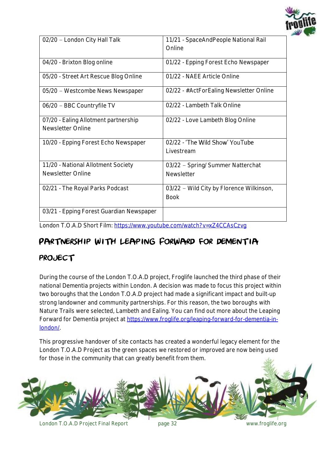

| 02/20 - London City Hall Talk            | 11/21 - SpaceAndPeople National Rail     |
|------------------------------------------|------------------------------------------|
|                                          | Online                                   |
|                                          |                                          |
| 04/20 - Brixton Blog online              | 01/22 - Epping Forest Echo Newspaper     |
|                                          |                                          |
| 05/20 - Street Art Rescue Blog Online    | 01/22 - NAEE Article Online              |
|                                          |                                          |
| 05/20 - Westcombe News Newspaper         | 02/22 - #ActForEaling Newsletter Online  |
|                                          |                                          |
| 06/20 - BBC Countryfile TV               | 02/22 - Lambeth Talk Online              |
|                                          |                                          |
| 07/20 - Ealing Allotment partnership     | 02/22 - Love Lambeth Blog Online         |
| Newsletter Online                        |                                          |
|                                          |                                          |
| 10/20 - Epping Forest Echo Newspaper     | 02/22 - 'The Wild Show' YouTube          |
|                                          | Livestream                               |
|                                          |                                          |
| 11/20 - National Allotment Society       | 03/22 - Spring/ Summer Natterchat        |
| Newsletter Online                        |                                          |
|                                          | <b>Newsletter</b>                        |
| 02/21 - The Royal Parks Podcast          | 03/22 - Wild City by Florence Wilkinson, |
|                                          |                                          |
|                                          | <b>Book</b>                              |
|                                          |                                          |
| 03/21 - Epping Forest Guardian Newspaper |                                          |
|                                          |                                          |

London T.O.A.D Short Film:<https://www.youtube.com/watch?v=xZ4CCAsCzvg>

#### <span id="page-31-0"></span>PARTNERSHIP WITH LEAPING FORWARD FOR DEMENTIA

#### project

During the course of the London T.O.A.D project, Froglife launched the third phase of their national Dementia projects within London. A decision was made to focus this project within two boroughs that the London T.O.A.D project had made a significant impact and built-up strong landowner and community partnerships. For this reason, the two boroughs with Nature Trails were selected, Lambeth and Ealing. You can find out more about the Leaping Forward for Dementia project at [https://www.froglife.org/leaping-forward-for-dementia-in](https://www.froglife.org/leaping-forward-for-dementia-in-london/)[london/.](https://www.froglife.org/leaping-forward-for-dementia-in-london/)

This progressive handover of site contacts has created a wonderful legacy element for the London T.O.A.D Project as the green spaces we restored or improved are now being used for those in the community that can greatly benefit from them.